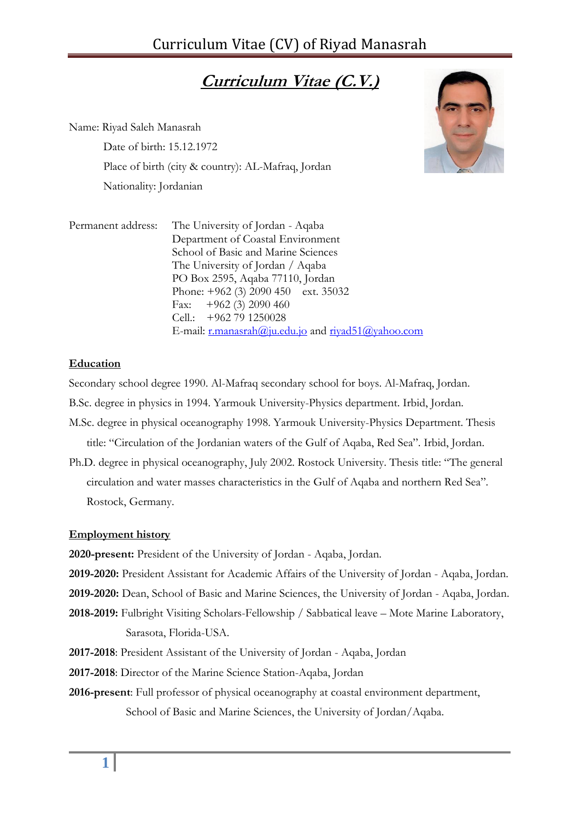# **Curriculum Vitae (C.V.)**

Name: Riyad Saleh Manasrah

Date of birth: 15.12.1972 Place of birth (city & country): AL-Mafraq, Jordan Nationality: Jordanian



| Permanent address: | The University of Jordan - Aqaba                   |
|--------------------|----------------------------------------------------|
|                    | Department of Coastal Environment                  |
|                    | School of Basic and Marine Sciences                |
|                    | The University of Jordan / Aqaba                   |
|                    | PO Box 2595, Aqaba 77110, Jordan                   |
|                    | Phone: $+962$ (3) 2090 450 ext. 35032              |
|                    | Fax: $+962$ (3) 2090 460                           |
|                    | Cell.: +962 79 1250028                             |
|                    | E-mail: r.manasrah@ju.edu.jo and rivad51@yahoo.com |

# **Education**

Secondary school degree 1990. Al-Mafraq secondary school for boys. Al-Mafraq, Jordan.

- B.Sc. degree in physics in 1994. Yarmouk University-Physics department. Irbid, Jordan.
- M.Sc. degree in physical oceanography 1998. Yarmouk University-Physics Department. Thesis title: "Circulation of the Jordanian waters of the Gulf of Aqaba, Red Sea". Irbid, Jordan.
- Ph.D. degree in physical oceanography, July 2002. Rostock University. Thesis title: "The general circulation and water masses characteristics in the Gulf of Aqaba and northern Red Sea". Rostock, Germany.

## **Employment history**

**2020-present:** President of the University of Jordan - Aqaba, Jordan.

- **2019-2020:** President Assistant for Academic Affairs of the University of Jordan Aqaba, Jordan.
- **2019-2020:** Dean, School of Basic and Marine Sciences, the University of Jordan Aqaba, Jordan.
- **2018-2019:** Fulbright Visiting Scholars-Fellowship / Sabbatical leave Mote Marine Laboratory, Sarasota, Florida-USA.
- **2017-2018**: President Assistant of the University of Jordan Aqaba, Jordan
- **2017-2018**: Director of the Marine Science Station-Aqaba, Jordan
- **2016-present**: Full professor of physical oceanography at coastal environment department, School of Basic and Marine Sciences, the University of Jordan/Aqaba.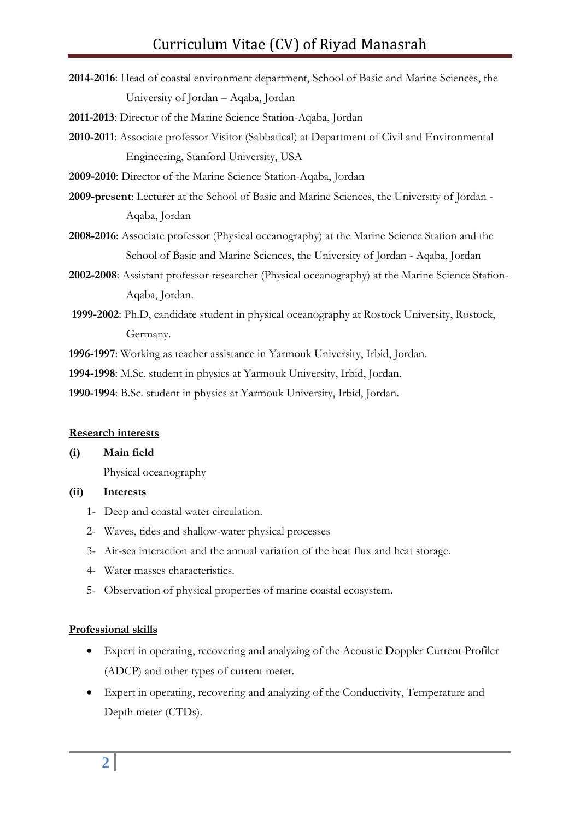**2014-2016**: Head of coastal environment department, School of Basic and Marine Sciences, the University of Jordan – Aqaba, Jordan

**2011-2013**: Director of the Marine Science Station-Aqaba, Jordan

**2010-2011**: Associate professor Visitor (Sabbatical) at Department of Civil and Environmental Engineering, Stanford University, USA

**2009-2010**: Director of the Marine Science Station-Aqaba, Jordan

- **2009-present**: Lecturer at the School of Basic and Marine Sciences, the University of Jordan Aqaba, Jordan
- **2008-2016**: Associate professor (Physical oceanography) at the Marine Science Station and the School of Basic and Marine Sciences, the University of Jordan - Aqaba, Jordan
- **2002-2008**: Assistant professor researcher (Physical oceanography) at the Marine Science Station-Aqaba, Jordan.
- **1999-2002**: Ph.D, candidate student in physical oceanography at Rostock University, Rostock, Germany.

**1996-1997**: Working as teacher assistance in Yarmouk University, Irbid, Jordan.

**1994-1998**: M.Sc. student in physics at Yarmouk University, Irbid, Jordan.

**1990-1994**: B.Sc. student in physics at Yarmouk University, Irbid, Jordan.

#### **Research interests**

## **(i) Main field**

Physical oceanography

## **(ii) Interests**

- 1- Deep and coastal water circulation.
- 2- Waves, tides and shallow-water physical processes
- 3- Air-sea interaction and the annual variation of the heat flux and heat storage.
- 4- Water masses characteristics.
- 5- Observation of physical properties of marine coastal ecosystem.

#### **Professional skills**

- Expert in operating, recovering and analyzing of the Acoustic Doppler Current Profiler (ADCP) and other types of current meter.
- Expert in operating, recovering and analyzing of the Conductivity, Temperature and Depth meter (CTDs).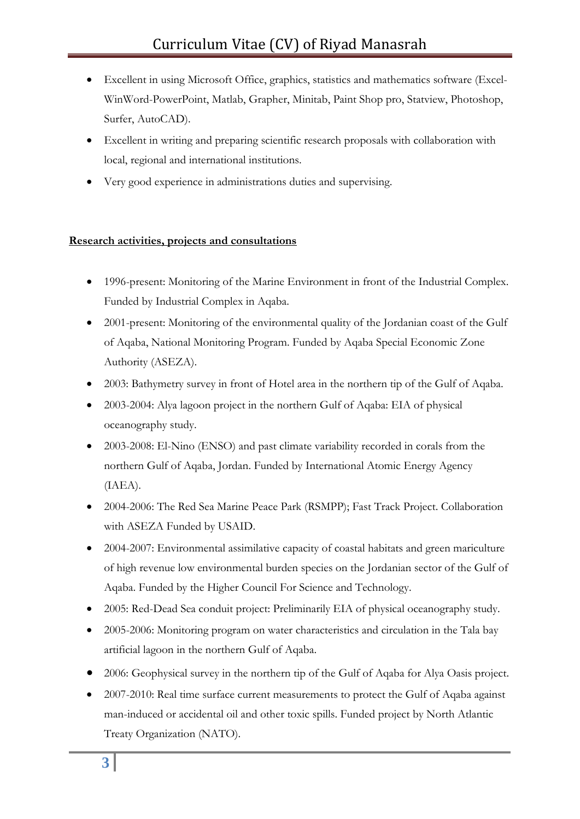- Excellent in using Microsoft Office, graphics, statistics and mathematics software (Excel-WinWord-PowerPoint, Matlab, Grapher, Minitab, Paint Shop pro, Statview, Photoshop, Surfer, AutoCAD).
- Excellent in writing and preparing scientific research proposals with collaboration with local, regional and international institutions.
- Very good experience in administrations duties and supervising.

# **Research activities, projects and consultations**

- 1996-present: Monitoring of the Marine Environment in front of the Industrial Complex. Funded by Industrial Complex in Aqaba.
- 2001-present: Monitoring of the environmental quality of the Jordanian coast of the Gulf of Aqaba, National Monitoring Program. Funded by Aqaba Special Economic Zone Authority (ASEZA).
- 2003: Bathymetry survey in front of Hotel area in the northern tip of the Gulf of Aqaba.
- 2003-2004: Alya lagoon project in the northern Gulf of Aqaba: EIA of physical oceanography study.
- 2003-2008: El-Nino (ENSO) and past climate variability recorded in corals from the northern Gulf of Aqaba, Jordan. Funded by International Atomic Energy Agency (IAEA).
- 2004-2006: The Red Sea Marine Peace Park (RSMPP); Fast Track Project. Collaboration with ASEZA Funded by USAID.
- 2004-2007: Environmental assimilative capacity of coastal habitats and green mariculture of high revenue low environmental burden species on the Jordanian sector of the Gulf of Aqaba. Funded by the Higher Council For Science and Technology.
- 2005: Red-Dead Sea conduit project: Preliminarily EIA of physical oceanography study.
- 2005-2006: Monitoring program on water characteristics and circulation in the Tala bay artificial lagoon in the northern Gulf of Aqaba.
- 2006: Geophysical survey in the northern tip of the Gulf of Aqaba for Alya Oasis project.
- 2007-2010: Real time surface current measurements to protect the Gulf of Aqaba against man-induced or accidental oil and other toxic spills. Funded project by North Atlantic Treaty Organization (NATO).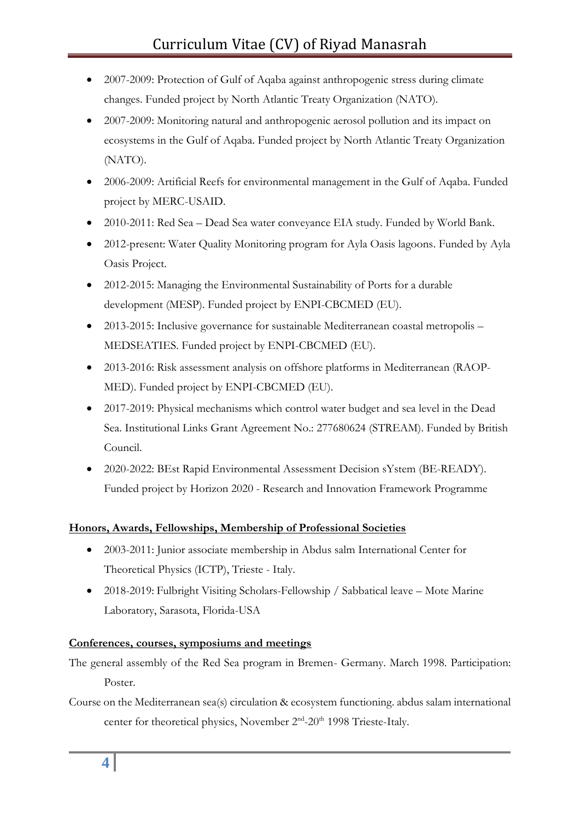- 2007-2009: Protection of Gulf of Aqaba against anthropogenic stress during climate changes. Funded project by North Atlantic Treaty Organization (NATO).
- 2007-2009: Monitoring natural and anthropogenic aerosol pollution and its impact on ecosystems in the Gulf of Aqaba. Funded project by North Atlantic Treaty Organization (NATO).
- 2006-2009: Artificial Reefs for environmental management in the Gulf of Aqaba. Funded project by MERC-USAID.
- 2010-2011: Red Sea Dead Sea water conveyance EIA study. Funded by World Bank.
- 2012-present: Water Quality Monitoring program for Ayla Oasis lagoons. Funded by Ayla Oasis Project.
- 2012-2015: Managing the Environmental Sustainability of Ports for a durable development (MESP). Funded project by ENPI-CBCMED (EU).
- 2013-2015: Inclusive governance for sustainable Mediterranean coastal metropolis MEDSEATIES. Funded project by ENPI-CBCMED (EU).
- 2013-2016: Risk assessment analysis on offshore platforms in Mediterranean (RAOP-MED). Funded project by ENPI-CBCMED (EU).
- 2017-2019: Physical mechanisms which control water budget and sea level in the Dead Sea. Institutional Links Grant Agreement No.: 277680624 (STREAM). Funded by British Council.
- 2020-2022: BEst Rapid Environmental Assessment Decision sYstem (BE-READY). Funded project by Horizon 2020 - Research and Innovation Framework Programme

# **Honors, Awards, Fellowships, Membership of Professional Societies**

- 2003-2011: Junior associate membership in Abdus salm International Center for Theoretical Physics (ICTP), Trieste - Italy.
- 2018-2019: Fulbright Visiting Scholars-Fellowship / Sabbatical leave Mote Marine Laboratory, Sarasota, Florida-USA

## **Conferences, courses, symposiums and meetings**

The general assembly of the Red Sea program in Bremen- Germany. March 1998. Participation: Poster.

Course on the Mediterranean sea(s) circulation & ecosystem functioning. abdus salam international center for theoretical physics, November 2<sup>nd</sup>-20<sup>th</sup> 1998 Trieste-Italy.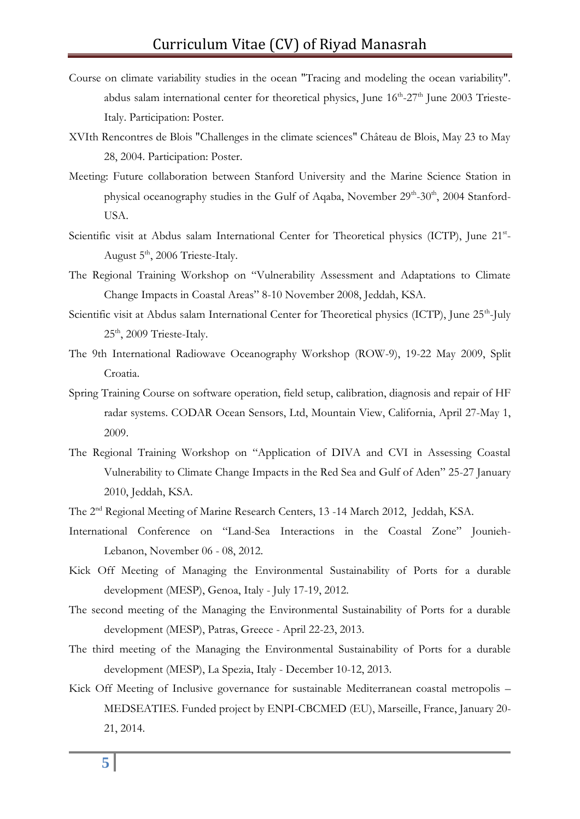- Course on climate variability studies in the ocean "Tracing and modeling the ocean variability". abdus salam international center for theoretical physics, June 16<sup>th</sup>-27<sup>th</sup> June 2003 Trieste-Italy. Participation: Poster.
- XVIth Rencontres de Blois "Challenges in the climate sciences" Château de Blois, May 23 to May 28, 2004. Participation: Poster.
- Meeting: Future collaboration between Stanford University and the Marine Science Station in physical oceanography studies in the Gulf of Aqaba, November 29th-30th, 2004 Stanford-USA.
- Scientific visit at Abdus salam International Center for Theoretical physics (ICTP), June 21st-August 5th, 2006 Trieste-Italy.
- The Regional Training Workshop on "Vulnerability Assessment and Adaptations to Climate Change Impacts in Coastal Areas" 8-10 November 2008, Jeddah, KSA.
- Scientific visit at Abdus salam International Center for Theoretical physics (ICTP), June 25<sup>th</sup>-July 25<sup>th</sup>, 2009 Trieste-Italy.
- The 9th International Radiowave Oceanography Workshop (ROW-9), 19-22 May 2009, Split Croatia.
- Spring Training Course on software operation, field setup, calibration, diagnosis and repair of HF radar systems. CODAR Ocean Sensors, Ltd, Mountain View, California, April 27-May 1, 2009.
- The Regional Training Workshop on "Application of DIVA and CVI in Assessing Coastal Vulnerability to Climate Change Impacts in the Red Sea and Gulf of Aden" 25-27 January 2010, Jeddah, KSA.
- The 2nd Regional Meeting of Marine Research Centers, 13 -14 March 2012, Jeddah, KSA.
- International Conference on "Land-Sea Interactions in the Coastal Zone" Jounieh-Lebanon, November 06 - 08, 2012.
- Kick Off Meeting of Managing the Environmental Sustainability of Ports for a durable development (MESP), Genoa, Italy - July 17-19, 2012.
- The second meeting of the Managing the Environmental Sustainability of Ports for a durable development (MESP), Patras, Greece - April 22-23, 2013.
- The third meeting of the Managing the Environmental Sustainability of Ports for a durable development (MESP), La Spezia, Italy - December 10-12, 2013.
- Kick Off Meeting of Inclusive governance for sustainable Mediterranean coastal metropolis MEDSEATIES. Funded project by ENPI-CBCMED (EU), Marseille, France, January 20- 21, 2014.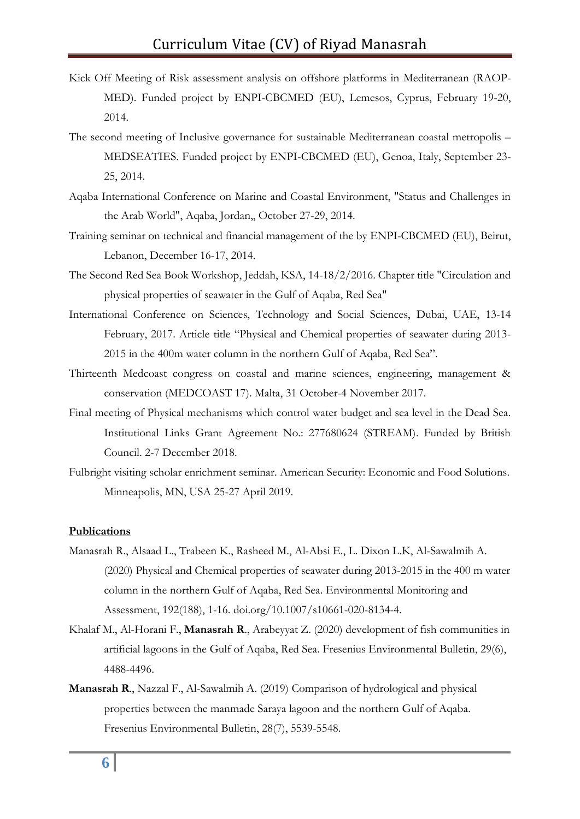- Kick Off Meeting of Risk assessment analysis on offshore platforms in Mediterranean (RAOP-MED). Funded project by ENPI-CBCMED (EU), Lemesos, Cyprus, February 19-20, 2014.
- The second meeting of Inclusive governance for sustainable Mediterranean coastal metropolis MEDSEATIES. Funded project by ENPI-CBCMED (EU), Genoa, Italy, September 23- 25, 2014.
- Aqaba International Conference on Marine and Coastal Environment, "Status and Challenges in the Arab World", Aqaba, Jordan,, October 27-29, 2014.
- Training seminar on technical and financial management of the by ENPI-CBCMED (EU), Beirut, Lebanon, December 16-17, 2014.
- The Second Red Sea Book Workshop, Jeddah, KSA, 14-18/2/2016. Chapter title "Circulation and physical properties of seawater in the Gulf of Aqaba, Red Sea"
- International Conference on Sciences, Technology and Social Sciences, Dubai, UAE, 13-14 February, 2017. Article title "Physical and Chemical properties of seawater during 2013- 2015 in the 400m water column in the northern Gulf of Aqaba, Red Sea".
- Thirteenth Medcoast congress on coastal and marine sciences, engineering, management & conservation (MEDCOAST 17). Malta, 31 October-4 November 2017.
- Final meeting of Physical mechanisms which control water budget and sea level in the Dead Sea. Institutional Links Grant Agreement No.: 277680624 (STREAM). Funded by British Council. 2-7 December 2018.
- Fulbright visiting scholar enrichment seminar. American Security: Economic and Food Solutions. Minneapolis, MN, USA 25-27 April 2019.

#### **Publications**

- Manasrah R., Alsaad L., Trabeen K., Rasheed M., Al-Absi E., L. Dixon L.K, Al-Sawalmih A. (2020) Physical and Chemical properties of seawater during 2013-2015 in the 400 m water column in the northern Gulf of Aqaba, Red Sea. Environmental Monitoring and Assessment, 192(188), 1-16. doi.org/10.1007/s10661-020-8134-4.
- Khalaf M., Al-Horani F., **Manasrah R**., Arabeyyat Z. (2020) development of fish communities in artificial lagoons in the Gulf of Aqaba, Red Sea. Fresenius Environmental Bulletin, 29(6), 4488-4496.
- **Manasrah R**., Nazzal F., Al-Sawalmih A. (2019) Comparison of hydrological and physical properties between the manmade Saraya lagoon and the northern Gulf of Aqaba. Fresenius Environmental Bulletin, 28(7), 5539-5548.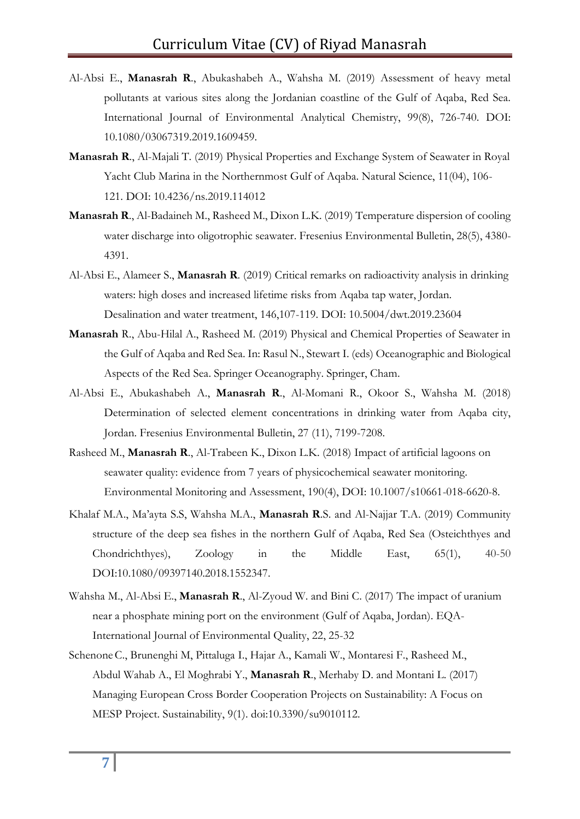- Al-Absi E., **Manasrah R**., Abukashabeh A., Wahsha M. (2019) Assessment of heavy metal pollutants at various sites along the Jordanian coastline of the Gulf of Aqaba, Red Sea. International Journal of Environmental Analytical Chemistry, 99(8), 726-740. DOI: 10.1080/03067319.2019.1609459.
- **Manasrah R**., Al-Majali T. (2019) Physical Properties and Exchange System of Seawater in Royal Yacht Club Marina in the Northernmost Gulf of Aqaba. Natural Science, 11(04), 106- 121. DOI: 10.4236/ns.2019.114012
- **Manasrah R**., Al-Badaineh M., Rasheed M., Dixon L.K. (2019) Temperature dispersion of cooling water discharge into oligotrophic seawater. Fresenius Environmental Bulletin, 28(5), 4380- 4391.
- Al-Absi E., Alameer S., **Manasrah R**. (2019) Critical remarks on radioactivity analysis in drinking waters: high doses and increased lifetime risks from Aqaba tap water, Jordan. Desalination and water treatment, 146,107-119. DOI: 10.5004/dwt.2019.23604
- **Manasrah** R., Abu-Hilal A., Rasheed M. (2019) Physical and Chemical Properties of Seawater in the Gulf of Aqaba and Red Sea. In: Rasul N., Stewart I. (eds) Oceanographic and Biological Aspects of the Red Sea. Springer Oceanography. Springer, Cham.
- Al-Absi E., Abukashabeh A., **Manasrah R**., Al-Momani R., Okoor S., Wahsha M. (2018) Determination of selected element concentrations in drinking water from Aqaba city, Jordan. Fresenius Environmental Bulletin, 27 (11), 7199-7208.
- Rasheed M., **Manasrah R**., Al-Trabeen K., Dixon L.K. (2018) Impact of artificial lagoons on seawater quality: evidence from 7 years of physicochemical seawater monitoring. Environmental Monitoring and Assessment, 190(4), DOI: 10.1007/s10661-018-6620-8.
- Khalaf M.A., Ma'ayta S.S, Wahsha M.A., **Manasrah R**.S. and Al-Najjar T.A. (2019) Community structure of the deep sea fishes in the northern Gulf of Aqaba, Red Sea (Osteichthyes and Chondrichthyes), Zoology in the Middle East, 65(1), 40-50 DOI:10.1080/09397140.2018.1552347.
- Wahsha M., Al-Absi E., **Manasrah R**., Al-Zyoud W. and Bini C. (2017) [The impact of uranium](https://scholar.google.com/citations?view_op=view_citation&hl=en&user=f0uxLhMAAAAJ&sortby=pubdate&citation_for_view=f0uxLhMAAAAJ:YOwf2qJgpHMC)  [near a phosphate mining port on the environment \(Gulf of Aqaba, Jordan\).](https://scholar.google.com/citations?view_op=view_citation&hl=en&user=f0uxLhMAAAAJ&sortby=pubdate&citation_for_view=f0uxLhMAAAAJ:YOwf2qJgpHMC) EQA-International Journal of Environmental Quality, 22, 25-32
- [SchenoneC](http://www.mdpi.com/search?authors=Corrado%20Schenone&orcid=)., [Brunenghi](http://www.mdpi.com/search?authors=Margherita%20Marr%C3%A8%20Brunenghi&orcid=) M, [Pittaluga](http://www.mdpi.com/search?authors=Ilaria%20Pittaluga&orcid=) I., [Hajar](http://www.mdpi.com/search?authors=Abdelrahman%20Hajar&orcid=) A., [Kamali](http://www.mdpi.com/search?authors=Walid%20Kamali&orcid=) W., [Montaresi](http://www.mdpi.com/search?authors=Federica%20Montaresi&orcid=) F., [Rasheed](http://www.mdpi.com/search?authors=Mohammed%20Rasheed&orcid=0000-0002-6131-368X) M., Abdul [Wahab](http://www.mdpi.com/search?authors=Abdallah%20Abdul%20Wahab&orcid=) A., El [Moghrabi](http://www.mdpi.com/search?authors=Yara%20El%20Moghrabi&orcid=) Y., **[Manasrah](http://www.mdpi.com/search?authors=Riyad%20Manasrah&orcid=0000-0001-9131-6227) R**., [Merhaby](http://www.mdpi.com/search?authors=Dima%20Merhaby&orcid=) D. and [Montani](http://www.mdpi.com/search?authors=Lorenzo%20Montani&orcid=) L. (2017) Managing European Cross Border Cooperation Projects on Sustainability: A Focus on MESP Project. Sustainability, 9(1). doi:10.3390/su9010112.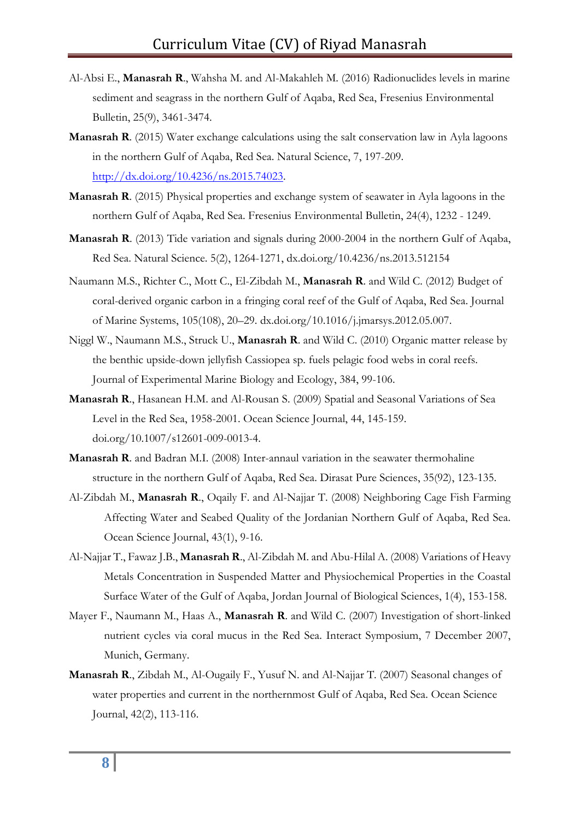- Al-Absi E., **Manasrah R**., Wahsha M. and Al-Makahleh M. (2016) Radionuclides levels in marine sediment and seagrass in the northern Gulf of Aqaba, Red Sea, Fresenius Environmental Bulletin, 25(9), 3461-3474.
- **Manasrah R**. (2015) Water exchange calculations using the salt conservation law in Ayla lagoons in the northern Gulf of Aqaba, Red Sea. Natural Science, 7, 197-209. [http://dx.doi.org/10.4236/ns.2015.74023.](http://dx.doi.org/10.4236/ns.2015.74023)
- **Manasrah R**. (2015) Physical properties and exchange system of seawater in Ayla lagoons in the northern Gulf of Aqaba, Red Sea. Fresenius Environmental Bulletin, 24(4), 1232 - 1249.
- **Manasrah R**. (2013) Tide variation and signals during 2000-2004 in the northern Gulf of Aqaba, Red Sea. Natural Science. 5(2), 1264-1271, dx.doi.org/10.4236/ns.2013.512154
- Naumann M.S., Richter C., Mott C., El-Zibdah M., **Manasrah R**. and Wild C. (2012) Budget of coral-derived organic carbon in a fringing coral reef of the Gulf of Aqaba, Red Sea. Journal of Marine Systems, [105\(108\)](http://www.sciencedirect.com/science/journal/09247963/105/supp/C), 20–29. [dx.doi.org/10.1016/j.jmarsys.2012.05.007.](http://dx.doi.org/10.1016/j.jmarsys.2012.05.007)
- Niggl W., Naumann M.S., Struck U., **Manasrah R**. and Wild C. (2010) Organic matter release by the benthic upside-down jellyfish Cassiopea sp. fuels pelagic food webs in coral reefs. [Journal of Experimental Marine Biology and Ecology, 384,](http://www.sciencedirect.com/science?_ob=ArticleURL&_udi=B6T8F-4YC39XF-1&_user=616146&_coverDate=03%2F01%2F2010&_rdoc=13&_fmt=high&_orig=browse&_srch=doc-info(%23toc%235085%232010%23996159998%231720107%23FLA%23display%23Volume)&_cdi=5085&_sort=d&_docanchor=&_ct=16&_acct=C000032323&_version=1&_urlVersion=0&_userid=616146&md5=a79bddd0b34cd28cb17bebc46f7f7380) 99-106.
- **Manasrah R**., Hasanean H.M. and Al-Rousan S. (2009) Spatial and Seasonal Variations of Sea Level in the Red Sea, 1958-2001. Ocean Science Journal, 44, 145-159. [doi.org/10.1007/s12601-009-0013-4.](https://doi.org/10.1007/s12601-009-0013-4)
- **Manasrah R**. and Badran M.I. (2008) Inter-annaul variation in the seawater thermohaline structure in the northern Gulf of Aqaba, Red Sea. Dirasat Pure Sciences, 35(92), 123-135.
- Al-Zibdah M., **Manasrah R**., Oqaily F. and Al-Najjar T. (2008) Neighboring Cage Fish Farming Affecting Water and Seabed Quality of the Jordanian Northern Gulf of Aqaba, Red Sea. Ocean Science Journal, 43(1), 9-16.
- Al-Najjar T., Fawaz J.B., **Manasrah R**., Al-Zibdah M. and Abu-Hilal A. (2008) Variations of Heavy Metals Concentration in Suspended Matter and Physiochemical Properties in the Coastal Surface Water of the Gulf of Aqaba, Jordan Journal of Biological Sciences, 1(4), 153-158.
- Mayer F., Naumann M., Haas A., **Manasrah R**. and Wild C. (2007) Investigation of short-linked nutrient cycles via coral mucus in the Red Sea. Interact Symposium, 7 December 2007, Munich, Germany.
- **Manasrah R**., Zibdah M., Al-Ougaily F., Yusuf N. and Al-Najjar T. (2007) Seasonal changes of water properties and current in the northernmost Gulf of Aqaba, Red Sea. Ocean Science Journal, 42(2), 113-116.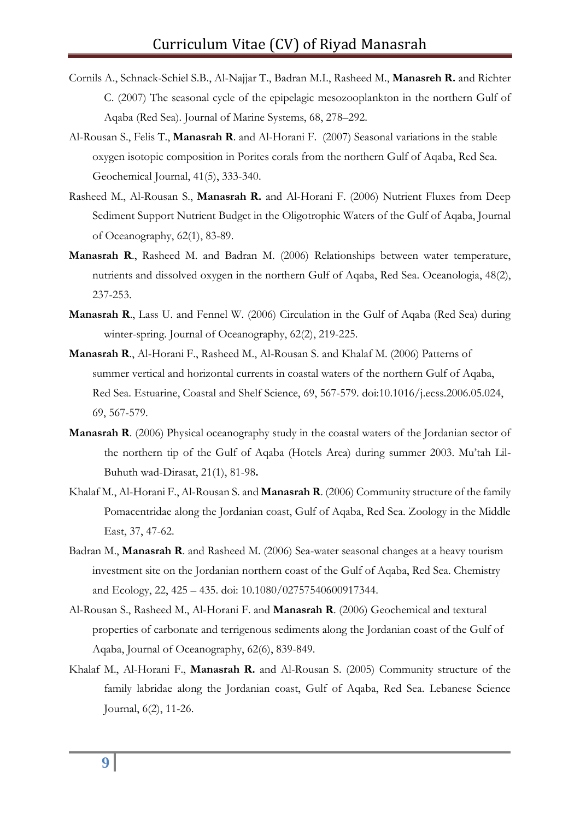- Cornils A., Schnack-Schiel S.B., Al-Najjar T., Badran M.I., Rasheed M., **Manasreh R.** and Richter C. (2007) The seasonal cycle of the epipelagic mesozooplankton in the northern Gulf of Aqaba (Red Sea). Journal of Marine Systems, 68, 278–292.
- Al-Rousan S., Felis T., **Manasrah R**. and Al-Horani F. (2007) Seasonal variations in the stable oxygen isotopic composition in Porites corals from the northern Gulf of Aqaba, Red Sea. Geochemical Journal, 41(5), 333-340.
- Rasheed M., Al-Rousan S., **Manasrah R.** and Al-Horani F. (2006) Nutrient Fluxes from Deep Sediment Support Nutrient Budget in the Oligotrophic Waters of the Gulf of Aqaba, Journal of Oceanography, 62(1), 83-89.
- **Manasrah R**., Rasheed M. and Badran M. (2006) Relationships between water temperature, nutrients and dissolved oxygen in the northern Gulf of Aqaba, Red Sea. Oceanologia, 48(2), 237-253.
- **Manasrah R**., Lass U. and Fennel W. (2006) Circulation in the Gulf of Aqaba (Red Sea) during winter-spring. Journal of Oceanography, 62(2), 219-225.
- **Manasrah R**., Al-Horani F., Rasheed M., Al-Rousan S. and Khalaf M. (2006) Patterns of summer vertical and horizontal currents in coastal waters of the northern Gulf of Aqaba, Red Sea. Estuarine, Coastal and Shelf Science, 69, [567-579. doi:10.1016/j.ecss.2006.05.024,](http://www.sciencedirect.com/science?_ob=PublicationURL&_cdi=6776&_pubType=J&_auth=y&_acct=C000050221&_version=1&_urlVersion=0&_userid=10&md5=21757900807ca5b15af50bf74c8c8b14)  69, [567-579.](http://www.sciencedirect.com/science?_ob=PublicationURL&_cdi=6776&_pubType=J&_auth=y&_acct=C000050221&_version=1&_urlVersion=0&_userid=10&md5=21757900807ca5b15af50bf74c8c8b14)
- **Manasrah R**. (2006) Physical oceanography study in the coastal waters of the Jordanian sector of the northern tip of the Gulf of Aqaba (Hotels Area) during summer 2003. Mu'tah Lil-Buhuth wad-Dirasat, 21(1), 81-98**.**
- Khalaf M., Al-Horani F., Al-Rousan S. and **Manasrah R**. (2006) Community structure of the family Pomacentridae along the Jordanian coast, Gulf of Aqaba, Red Sea. Zoology in the Middle East, 37, 47-62.
- Badran M., **Manasrah R**. and Rasheed M. (2006) Sea-water seasonal changes at a heavy tourism investment site on the Jordanian northern coast of the Gulf of Aqaba, Red Sea. Chemistry and Ecology, 22, 425 – 435. doi: 10.1080/02757540600917344.
- Al-Rousan S., Rasheed M., Al-Horani F. and **Manasrah R**. (2006) Geochemical and textural properties of carbonate and terrigenous sediments along the Jordanian coast of the Gulf of Aqaba, Journal of Oceanography, 62(6), 839-849.
- Khalaf M., Al-Horani F., **Manasrah R.** and Al-Rousan S. (2005) Community structure of the family labridae along the Jordanian coast, Gulf of Aqaba, Red Sea. Lebanese Science Journal, 6(2), 11-26.